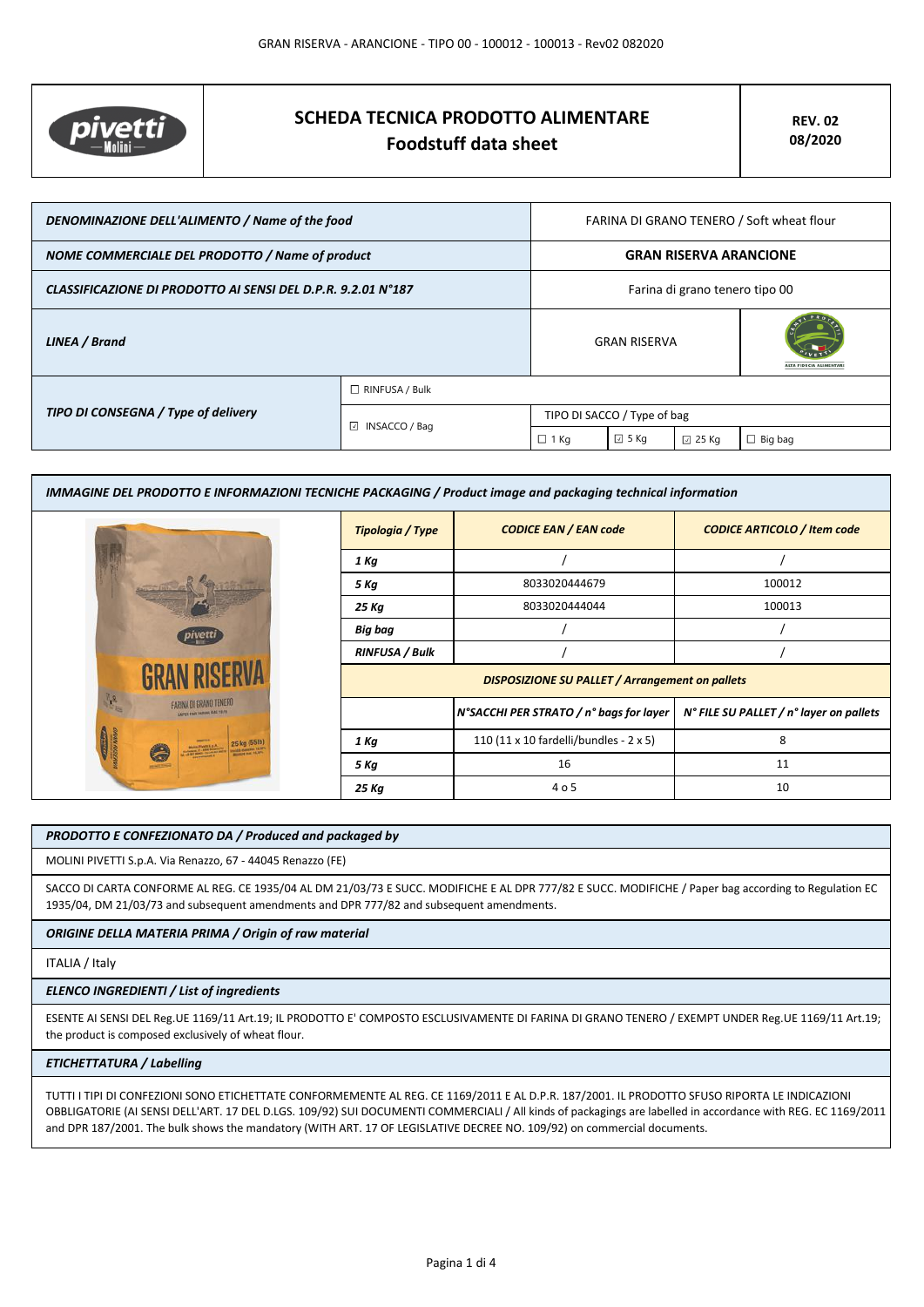

# **SCHEDA TECNICA PRODOTTO ALIMENTARE Foodstuff data sheet**

| DENOMINAZIONE DELL'ALIMENTO / Name of the food               |                         | FARINA DI GRANO TENERO / Soft wheat flour |                |                        |                |
|--------------------------------------------------------------|-------------------------|-------------------------------------------|----------------|------------------------|----------------|
| NOME COMMERCIALE DEL PRODOTTO / Name of product              |                         | <b>GRAN RISERVA ARANCIONE</b>             |                |                        |                |
| CLASSIFICAZIONE DI PRODOTTO AI SENSI DEL D.P.R. 9.2.01 N°187 |                         | Farina di grano tenero tipo 00            |                |                        |                |
| LINEA / Brand                                                |                         | <b>GRAN RISERVA</b>                       |                | <b>TA EIDHCIA ALIM</b> |                |
|                                                              | $\Box$ RINFUSA / Bulk   |                                           |                |                        |                |
| TIPO DI CONSEGNA / Type of delivery                          | $\boxdot$ INSACCO / Bag | TIPO DI SACCO / Type of bag               |                |                        |                |
|                                                              |                         | 1 Kg                                      | $\boxdot$ 5 Kg | $\boxdot$ 25 Kg        | $\Box$ Big bag |

| <b>IMMAGINE DEL PRODOTTO E INFORMAZIONI TECNICHE PACKAGING / Product image and packaging technical information</b> |                                                        |                                         |                                         |  |
|--------------------------------------------------------------------------------------------------------------------|--------------------------------------------------------|-----------------------------------------|-----------------------------------------|--|
|                                                                                                                    | Tipologia / Type                                       | <b>CODICE EAN / EAN code</b>            | <b>CODICE ARTICOLO / Item code</b>      |  |
|                                                                                                                    | 1 Kg                                                   |                                         |                                         |  |
|                                                                                                                    | 5 Kg                                                   | 8033020444679                           | 100012                                  |  |
|                                                                                                                    | 25 Kg                                                  | 8033020444044                           | 100013                                  |  |
|                                                                                                                    | Big bag                                                |                                         |                                         |  |
|                                                                                                                    | <b>RINFUSA / Bulk</b>                                  |                                         |                                         |  |
|                                                                                                                    | <b>DISPOSIZIONE SU PALLET / Arrangement on pallets</b> |                                         |                                         |  |
| <b>FARINA DI GRAND TENERO</b>                                                                                      |                                                        | N°SACCHI PER STRATO / n° bags for layer | N° FILE SU PALLET / n° layer on pallets |  |
|                                                                                                                    | 1 Kg                                                   | 110 (11 x 10 fardelli/bundles - 2 x 5)  | 8                                       |  |
|                                                                                                                    | 5 Kg                                                   | 16                                      | 11                                      |  |
|                                                                                                                    | 25 Kg                                                  | 4 o 5                                   | 10                                      |  |

# *PRODOTTO E CONFEZIONATO DA / Produced and packaged by*

MOLINI PIVETTI S.p.A. Via Renazzo, 67 - 44045 Renazzo (FE)

SACCO DI CARTA CONFORME AL REG. CE 1935/04 AL DM 21/03/73 E SUCC. MODIFICHE E AL DPR 777/82 E SUCC. MODIFICHE / Paper bag according to Regulation EC 1935/04, DM 21/03/73 and subsequent amendments and DPR 777/82 and subsequent amendments.

## *ORIGINE DELLA MATERIA PRIMA / Origin of raw material*

#### ITALIA / Italy

## *ELENCO INGREDIENTI / List of ingredients*

ESENTE AI SENSI DEL Reg.UE 1169/11 Art.19; IL PRODOTTO E' COMPOSTO ESCLUSIVAMENTE DI FARINA DI GRANO TENERO / EXEMPT UNDER Reg.UE 1169/11 Art.19; the product is composed exclusively of wheat flour.

# *ETICHETTATURA / Labelling*

TUTTI I TIPI DI CONFEZIONI SONO ETICHETTATE CONFORMEMENTE AL REG. CE 1169/2011 E AL D.P.R. 187/2001. IL PRODOTTO SFUSO RIPORTA LE INDICAZIONI OBBLIGATORIE (AI SENSI DELL'ART. 17 DEL D.LGS. 109/92) SUI DOCUMENTI COMMERCIALI / All kinds of packagings are labelled in accordance with REG. EC 1169/2011 and DPR 187/2001. The bulk shows the mandatory (WITH ART. 17 OF LEGISLATIVE DECREE NO. 109/92) on commercial documents.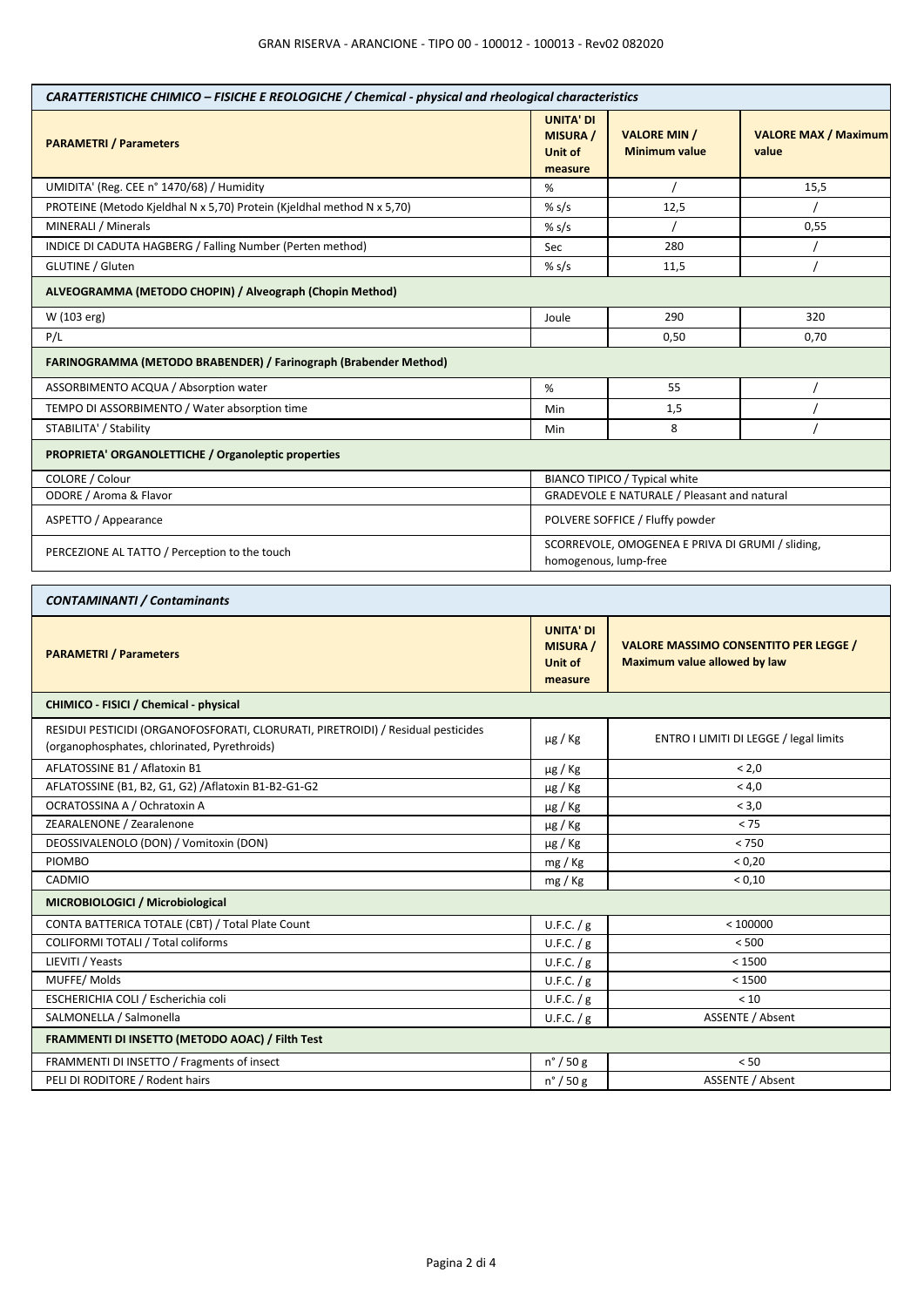| CARATTERISTICHE CHIMICO - FISICHE E REOLOGICHE / Chemical - physical and rheological characteristics                             |                                                           |                                                                                     |                                      |  |
|----------------------------------------------------------------------------------------------------------------------------------|-----------------------------------------------------------|-------------------------------------------------------------------------------------|--------------------------------------|--|
| <b>PARAMETRI / Parameters</b>                                                                                                    | <b>UNITA' DI</b><br><b>MISURA /</b><br>Unit of<br>measure | <b>VALORE MIN /</b><br><b>Minimum value</b>                                         | <b>VALORE MAX / Maximum</b><br>value |  |
| UMIDITA' (Reg. CEE n° 1470/68) / Humidity                                                                                        | %                                                         |                                                                                     | 15,5                                 |  |
| PROTEINE (Metodo Kjeldhal N x 5,70) Protein (Kjeldhal method N x 5,70)                                                           | % $s/s$                                                   | 12,5                                                                                |                                      |  |
| MINERALI / Minerals                                                                                                              | % $s/s$                                                   |                                                                                     | 0,55                                 |  |
| INDICE DI CADUTA HAGBERG / Falling Number (Perten method)                                                                        | Sec                                                       | 280                                                                                 |                                      |  |
| GLUTINE / Gluten                                                                                                                 | % $s/s$                                                   | 11,5                                                                                |                                      |  |
| ALVEOGRAMMA (METODO CHOPIN) / Alveograph (Chopin Method)                                                                         |                                                           |                                                                                     |                                      |  |
| W (103 erg)                                                                                                                      | Joule                                                     | 290                                                                                 | 320                                  |  |
| P/L                                                                                                                              |                                                           | 0,50                                                                                | 0,70                                 |  |
| FARINOGRAMMA (METODO BRABENDER) / Farinograph (Brabender Method)                                                                 |                                                           |                                                                                     |                                      |  |
| ASSORBIMENTO ACQUA / Absorption water                                                                                            | %                                                         | 55                                                                                  |                                      |  |
| TEMPO DI ASSORBIMENTO / Water absorption time                                                                                    | Min                                                       | 1,5                                                                                 |                                      |  |
| STABILITA' / Stability                                                                                                           | Min                                                       | 8                                                                                   |                                      |  |
| PROPRIETA' ORGANOLETTICHE / Organoleptic properties                                                                              |                                                           |                                                                                     |                                      |  |
| COLORE / Colour                                                                                                                  |                                                           | BIANCO TIPICO / Typical white                                                       |                                      |  |
| ODORE / Aroma & Flavor                                                                                                           |                                                           | <b>GRADEVOLE E NATURALE / Pleasant and natural</b>                                  |                                      |  |
| ASPETTO / Appearance                                                                                                             |                                                           | POLVERE SOFFICE / Fluffy powder                                                     |                                      |  |
| PERCEZIONE AL TATTO / Perception to the touch                                                                                    |                                                           | SCORREVOLE, OMOGENEA E PRIVA DI GRUMI / sliding,<br>homogenous, lump-free           |                                      |  |
| <b>CONTAMINANTI / Contaminants</b>                                                                                               |                                                           |                                                                                     |                                      |  |
| <b>PARAMETRI / Parameters</b>                                                                                                    | <b>UNITA' DI</b><br><b>MISURA</b> /<br>Unit of<br>measure | <b>VALORE MASSIMO CONSENTITO PER LEGGE /</b><br><b>Maximum value allowed by law</b> |                                      |  |
| CHIMICO - FISICI / Chemical - physical                                                                                           |                                                           |                                                                                     |                                      |  |
| RESIDUI PESTICIDI (ORGANOFOSFORATI, CLORURATI, PIRETROIDI) / Residual pesticides<br>(organophosphates, chlorinated, Pyrethroids) | $\mu$ g / Kg                                              | ENTRO I LIMITI DI LEGGE / legal limits                                              |                                      |  |
| AFLATOSSINE B1 / Aflatoxin B1                                                                                                    | $\mu$ g / Kg                                              | < 2,0                                                                               |                                      |  |
| AFLATOSSINE (B1, B2, G1, G2) / Aflatoxin B1-B2-G1-G2                                                                             | µg / Kg                                                   | < 4,0                                                                               |                                      |  |
| OCRATOSSINA A / Ochratoxin A                                                                                                     | $\mu$ g / Kg                                              | < 3,0                                                                               |                                      |  |
| ZEARALENONE / Zearalenone                                                                                                        | $\mu$ g / Kg                                              | < 75                                                                                |                                      |  |
| DEOSSIVALENOLO (DON) / Vomitoxin (DON)                                                                                           | $\mu$ g / Kg                                              | $< 750$                                                                             |                                      |  |
| PIOMBO                                                                                                                           | mg / Kg                                                   | < 0,20                                                                              |                                      |  |
| CADMIO                                                                                                                           | mg / Kg                                                   | < 0,10                                                                              |                                      |  |
| MICROBIOLOGICI / Microbiological                                                                                                 |                                                           |                                                                                     |                                      |  |
| CONTA BATTERICA TOTALE (CBT) / Total Plate Count                                                                                 | U.F.C. $/g$                                               | < 100000                                                                            |                                      |  |
| <b>COLIFORMI TOTALI / Total coliforms</b>                                                                                        | U.F.C. $/g$                                               | < 500                                                                               |                                      |  |
| LIEVITI / Yeasts                                                                                                                 | U.F.C. $/g$                                               | < 1500                                                                              |                                      |  |
| MUFFE/Molds                                                                                                                      | U.F.C. $/g$                                               | < 1500                                                                              |                                      |  |
| ESCHERICHIA COLI / Escherichia coli                                                                                              | U.F.C. $/g$                                               | < 10                                                                                |                                      |  |
| SALMONELLA / Salmonella                                                                                                          | U.F.C. $/g$                                               | ASSENTE / Absent                                                                    |                                      |  |
| FRAMMENTI DI INSETTO (METODO AOAC) / Filth Test                                                                                  |                                                           |                                                                                     |                                      |  |
| FRAMMENTI DI INSETTO / Fragments of insect                                                                                       | $n^{\circ}$ / 50 g                                        | $< 50$                                                                              |                                      |  |
| PELI DI RODITORE / Rodent hairs                                                                                                  | $n^{\circ}$ / 50 g                                        | ASSENTE / Absent                                                                    |                                      |  |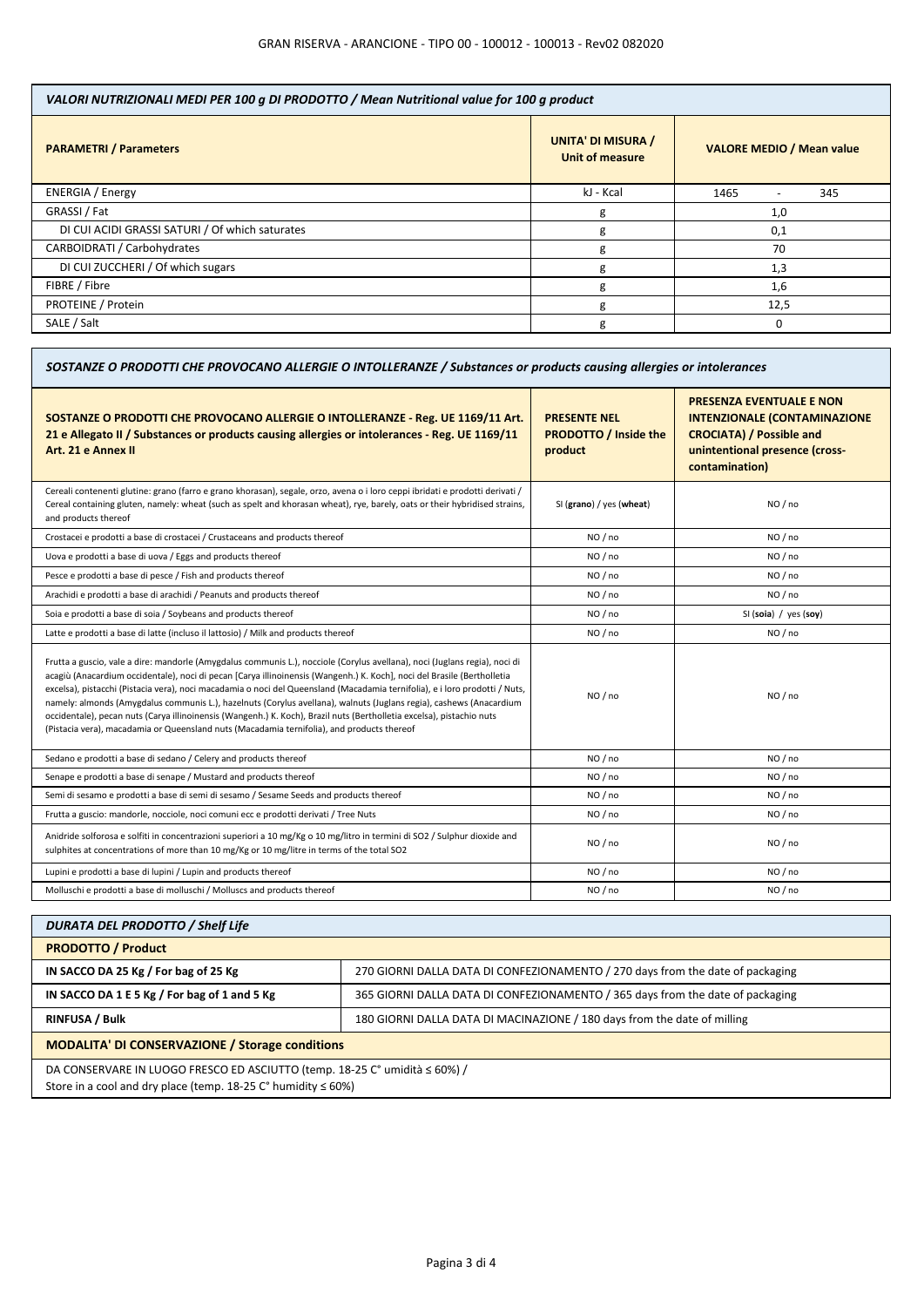| VALORI NUTRIZIONALI MEDI PER 100 g DI PRODOTTO / Mean Nutritional value for 100 g product |                                              |                                  |  |
|-------------------------------------------------------------------------------------------|----------------------------------------------|----------------------------------|--|
| <b>PARAMETRI / Parameters</b>                                                             | <b>UNITA' DI MISURA /</b><br>Unit of measure | <b>VALORE MEDIO / Mean value</b> |  |
| <b>ENERGIA</b> / Energy                                                                   | kJ - Kcal                                    | 1465<br>345                      |  |
| GRASSI / Fat                                                                              | g                                            | 1,0                              |  |
| DI CUI ACIDI GRASSI SATURI / Of which saturates                                           | g                                            | 0,1                              |  |
| CARBOIDRATI / Carbohydrates                                                               | g                                            | 70                               |  |
| DI CUI ZUCCHERI / Of which sugars                                                         | g                                            | 1,3                              |  |
| FIBRE / Fibre                                                                             | g                                            | 1,6                              |  |
| PROTEINE / Protein                                                                        | g                                            | 12,5                             |  |
| SALE / Salt                                                                               | g                                            | 0                                |  |

| SOSTANZE O PRODOTTI CHE PROVOCANO ALLERGIE O INTOLLERANZE / Substances or products causing allergies or intolerances                                                                                                                                                                                                                                                                                                                                                                                                                                                                                                                                                                                                               |                                                                |                                                                                                                                                               |  |
|------------------------------------------------------------------------------------------------------------------------------------------------------------------------------------------------------------------------------------------------------------------------------------------------------------------------------------------------------------------------------------------------------------------------------------------------------------------------------------------------------------------------------------------------------------------------------------------------------------------------------------------------------------------------------------------------------------------------------------|----------------------------------------------------------------|---------------------------------------------------------------------------------------------------------------------------------------------------------------|--|
| SOSTANZE O PRODOTTI CHE PROVOCANO ALLERGIE O INTOLLERANZE - Reg. UE 1169/11 Art.<br>21 e Allegato II / Substances or products causing allergies or intolerances - Reg. UE 1169/11<br>Art. 21 e Annex II                                                                                                                                                                                                                                                                                                                                                                                                                                                                                                                            | <b>PRESENTE NEL</b><br><b>PRODOTTO / Inside the</b><br>product | <b>PRESENZA EVENTUALE E NON</b><br><b>INTENZIONALE (CONTAMINAZIONE</b><br><b>CROCIATA) / Possible and</b><br>unintentional presence (cross-<br>contamination) |  |
| Cereali contenenti glutine: grano (farro e grano khorasan), segale, orzo, avena o i loro ceppi ibridati e prodotti derivati /<br>Cereal containing gluten, namely: wheat (such as spelt and khorasan wheat), rye, barely, oats or their hybridised strains,<br>and products thereof                                                                                                                                                                                                                                                                                                                                                                                                                                                | SI (grano) / yes (wheat)                                       | NO / no                                                                                                                                                       |  |
| Crostacei e prodotti a base di crostacei / Crustaceans and products thereof                                                                                                                                                                                                                                                                                                                                                                                                                                                                                                                                                                                                                                                        | NO / no                                                        | NO / no                                                                                                                                                       |  |
| Uova e prodotti a base di uova / Eggs and products thereof                                                                                                                                                                                                                                                                                                                                                                                                                                                                                                                                                                                                                                                                         | NO / no                                                        | NO/no                                                                                                                                                         |  |
| Pesce e prodotti a base di pesce / Fish and products thereof                                                                                                                                                                                                                                                                                                                                                                                                                                                                                                                                                                                                                                                                       | NO / no                                                        | NO / no                                                                                                                                                       |  |
| Arachidi e prodotti a base di arachidi / Peanuts and products thereof                                                                                                                                                                                                                                                                                                                                                                                                                                                                                                                                                                                                                                                              | NO / no                                                        | NO / no                                                                                                                                                       |  |
| Soia e prodotti a base di soia / Soybeans and products thereof                                                                                                                                                                                                                                                                                                                                                                                                                                                                                                                                                                                                                                                                     | NO/no                                                          | SI (soia) / yes (soy)                                                                                                                                         |  |
| Latte e prodotti a base di latte (incluso il lattosio) / Milk and products thereof                                                                                                                                                                                                                                                                                                                                                                                                                                                                                                                                                                                                                                                 | NO / no                                                        | NO / no                                                                                                                                                       |  |
| Frutta a guscio, vale a dire: mandorle (Amygdalus communis L.), nocciole (Corylus avellana), noci (Juglans regia), noci di<br>acagiù (Anacardium occidentale), noci di pecan [Carya illinoinensis (Wangenh.) K. Koch], noci del Brasile (Bertholletia<br>excelsa), pistacchi (Pistacia vera), noci macadamia o noci del Queensland (Macadamia ternifolia), e i loro prodotti / Nuts,<br>namely: almonds (Amygdalus communis L.), hazelnuts (Corylus avellana), walnuts (Juglans regia), cashews (Anacardium<br>occidentale), pecan nuts (Carya illinoinensis (Wangenh.) K. Koch), Brazil nuts (Bertholletia excelsa), pistachio nuts<br>(Pistacia vera), macadamia or Queensland nuts (Macadamia ternifolia), and products thereof | NO/no                                                          | NO/no                                                                                                                                                         |  |
| Sedano e prodotti a base di sedano / Celery and products thereof                                                                                                                                                                                                                                                                                                                                                                                                                                                                                                                                                                                                                                                                   | NO / no                                                        | NO / no                                                                                                                                                       |  |
| Senape e prodotti a base di senape / Mustard and products thereof                                                                                                                                                                                                                                                                                                                                                                                                                                                                                                                                                                                                                                                                  | NO / no                                                        | NO / no                                                                                                                                                       |  |
| Semi di sesamo e prodotti a base di semi di sesamo / Sesame Seeds and products thereof                                                                                                                                                                                                                                                                                                                                                                                                                                                                                                                                                                                                                                             | NO / no                                                        | NO / no                                                                                                                                                       |  |
| Frutta a guscio: mandorle, nocciole, noci comuni ecc e prodotti derivati / Tree Nuts                                                                                                                                                                                                                                                                                                                                                                                                                                                                                                                                                                                                                                               | NO / no                                                        | NO / no                                                                                                                                                       |  |
| Anidride solforosa e solfiti in concentrazioni superiori a 10 mg/Kg o 10 mg/litro in termini di SO2 / Sulphur dioxide and<br>sulphites at concentrations of more than 10 mg/Kg or 10 mg/litre in terms of the total SO2                                                                                                                                                                                                                                                                                                                                                                                                                                                                                                            | NO / no                                                        | NO / no                                                                                                                                                       |  |
| Lupini e prodotti a base di lupini / Lupin and products thereof                                                                                                                                                                                                                                                                                                                                                                                                                                                                                                                                                                                                                                                                    | NO / no                                                        | NO / no                                                                                                                                                       |  |
| Molluschi e prodotti a base di molluschi / Molluscs and products thereof                                                                                                                                                                                                                                                                                                                                                                                                                                                                                                                                                                                                                                                           | NO / no                                                        | NO/no                                                                                                                                                         |  |
|                                                                                                                                                                                                                                                                                                                                                                                                                                                                                                                                                                                                                                                                                                                                    |                                                                |                                                                                                                                                               |  |

| <b>DURATA DEL PRODOTTO / Shelf Life</b>                                       |                                                                                |  |
|-------------------------------------------------------------------------------|--------------------------------------------------------------------------------|--|
| <b>PRODOTTO / Product</b>                                                     |                                                                                |  |
| IN SACCO DA 25 Kg / For bag of 25 Kg                                          | 270 GIORNI DALLA DATA DI CONFEZIONAMENTO / 270 days from the date of packaging |  |
| IN SACCO DA 1 E 5 Kg / For bag of 1 and 5 Kg                                  | 365 GIORNI DALLA DATA DI CONFEZIONAMENTO / 365 days from the date of packaging |  |
| <b>RINFUSA / Bulk</b>                                                         | 180 GIORNI DALLA DATA DI MACINAZIONE / 180 days from the date of milling       |  |
| <b>MODALITA' DI CONSERVAZIONE / Storage conditions</b>                        |                                                                                |  |
| DA CONSERVARE IN LUOGO FRESCO ED ASCIUTTO (temp. 18-25 C° umidità ≤ 60%) /    |                                                                                |  |
| Store in a cool and dry place (temp. 18-25 $C^{\circ}$ humidity $\leq 60\%$ ) |                                                                                |  |